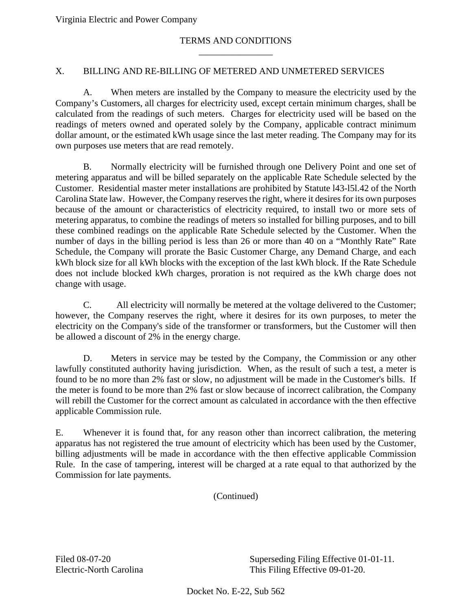Virginia Electric and Power Company

### TERMS AND CONDITIONS \_\_\_\_\_\_\_\_\_\_\_\_\_\_\_\_

## X. BILLING AND RE-BILLING OF METERED AND UNMETERED SERVICES

A. When meters are installed by the Company to measure the electricity used by the Company's Customers, all charges for electricity used, except certain minimum charges, shall be calculated from the readings of such meters. Charges for electricity used will be based on the readings of meters owned and operated solely by the Company, applicable contract minimum dollar amount, or the estimated kWh usage since the last meter reading. The Company may for its own purposes use meters that are read remotely.

B. Normally electricity will be furnished through one Delivery Point and one set of metering apparatus and will be billed separately on the applicable Rate Schedule selected by the Customer. Residential master meter installations are prohibited by Statute l43-l5l.42 of the North Carolina State law. However, the Company reserves the right, where it desires for its own purposes because of the amount or characteristics of electricity required, to install two or more sets of metering apparatus, to combine the readings of meters so installed for billing purposes, and to bill these combined readings on the applicable Rate Schedule selected by the Customer. When the number of days in the billing period is less than 26 or more than 40 on a "Monthly Rate" Rate Schedule, the Company will prorate the Basic Customer Charge, any Demand Charge, and each kWh block size for all kWh blocks with the exception of the last kWh block. If the Rate Schedule does not include blocked kWh charges, proration is not required as the kWh charge does not change with usage.

C. All electricity will normally be metered at the voltage delivered to the Customer; however, the Company reserves the right, where it desires for its own purposes, to meter the electricity on the Company's side of the transformer or transformers, but the Customer will then be allowed a discount of 2% in the energy charge.

D. Meters in service may be tested by the Company, the Commission or any other lawfully constituted authority having jurisdiction. When, as the result of such a test, a meter is found to be no more than 2% fast or slow, no adjustment will be made in the Customer's bills. If the meter is found to be more than 2% fast or slow because of incorrect calibration, the Company will rebill the Customer for the correct amount as calculated in accordance with the then effective applicable Commission rule.

E. Whenever it is found that, for any reason other than incorrect calibration, the metering apparatus has not registered the true amount of electricity which has been used by the Customer, billing adjustments will be made in accordance with the then effective applicable Commission Rule. In the case of tampering, interest will be charged at a rate equal to that authorized by the Commission for late payments.

(Continued)

Filed 08-07-20 Superseding Filing Effective 01-01-11. Electric-North Carolina This Filing Effective 09-01-20.

Docket No. E-22, Sub 562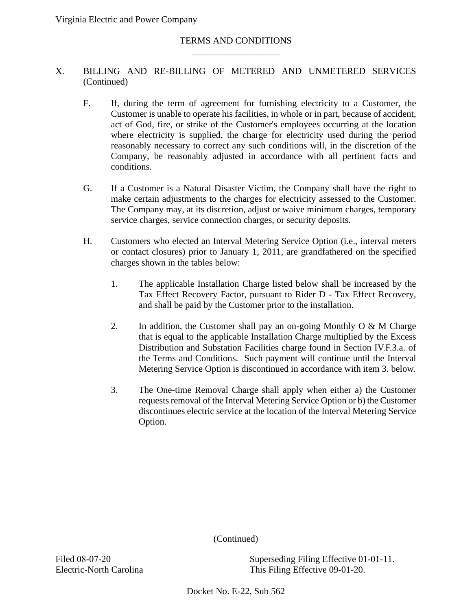### TERMS AND CONDITIONS \_\_\_\_\_\_\_\_\_\_\_\_\_\_\_\_\_\_\_

# X. BILLING AND RE-BILLING OF METERED AND UNMETERED SERVICES (Continued)

- F. If, during the term of agreement for furnishing electricity to a Customer, the Customer is unable to operate his facilities, in whole or in part, because of accident, act of God, fire, or strike of the Customer's employees occurring at the location where electricity is supplied, the charge for electricity used during the period reasonably necessary to correct any such conditions will, in the discretion of the Company, be reasonably adjusted in accordance with all pertinent facts and conditions.
- G. If a Customer is a Natural Disaster Victim, the Company shall have the right to make certain adjustments to the charges for electricity assessed to the Customer. The Company may, at its discretion, adjust or waive minimum charges, temporary service charges, service connection charges, or security deposits.
- H. Customers who elected an Interval Metering Service Option (i.e., interval meters or contact closures) prior to January 1, 2011, are grandfathered on the specified charges shown in the tables below:
	- 1. The applicable Installation Charge listed below shall be increased by the Tax Effect Recovery Factor, pursuant to Rider D - Tax Effect Recovery, and shall be paid by the Customer prior to the installation.
	- 2. In addition, the Customer shall pay an on-going Monthly O & M Charge that is equal to the applicable Installation Charge multiplied by the Excess Distribution and Substation Facilities charge found in Section IV.F.3.a. of the Terms and Conditions. Such payment will continue until the Interval Metering Service Option is discontinued in accordance with item 3. below.
	- 3. The One-time Removal Charge shall apply when either a) the Customer requests removal of the Interval Metering Service Option or b) the Customer discontinues electric service at the location of the Interval Metering Service Option.

(Continued)

Filed 08-07-20 Superseding Filing Effective 01-01-11. Electric-North Carolina This Filing Effective 09-01-20.

Docket No. E-22, Sub 562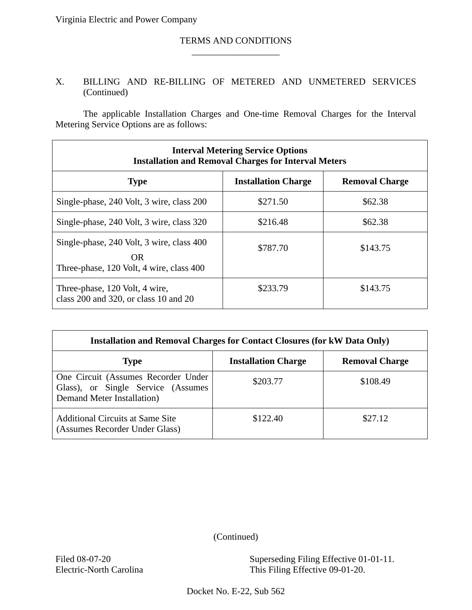# TERMS AND CONDITIONS \_\_\_\_\_\_\_\_\_\_\_\_\_\_\_\_\_\_\_

# X. BILLING AND RE-BILLING OF METERED AND UNMETERED SERVICES (Continued)

The applicable Installation Charges and One-time Removal Charges for the Interval Metering Service Options are as follows:

| <b>Interval Metering Service Options</b><br><b>Installation and Removal Charges for Interval Meters</b> |                            |                       |  |
|---------------------------------------------------------------------------------------------------------|----------------------------|-----------------------|--|
| <b>Type</b>                                                                                             | <b>Installation Charge</b> | <b>Removal Charge</b> |  |
| Single-phase, 240 Volt, 3 wire, class 200                                                               | \$271.50                   | \$62.38               |  |
| Single-phase, 240 Volt, 3 wire, class 320                                                               | \$216.48                   | \$62.38               |  |
| Single-phase, 240 Volt, 3 wire, class 400<br>OR.<br>Three-phase, 120 Volt, 4 wire, class 400            | \$787.70                   | \$143.75              |  |
| Three-phase, 120 Volt, 4 wire,<br>class $200$ and $320$ , or class 10 and $20$                          | \$233.79                   | \$143.75              |  |

| <b>Installation and Removal Charges for Contact Closures (for kW Data Only)</b>                         |                            |                       |  |
|---------------------------------------------------------------------------------------------------------|----------------------------|-----------------------|--|
| <b>Type</b>                                                                                             | <b>Installation Charge</b> | <b>Removal Charge</b> |  |
| One Circuit (Assumes Recorder Under<br>Glass), or Single Service (Assumes<br>Demand Meter Installation) | \$203.77                   | \$108.49              |  |
| <b>Additional Circuits at Same Site</b><br>(Assumes Recorder Under Glass)                               | \$122.40                   | \$27.12               |  |

(Continued)

Filed 08-07-20 Superseding Filing Effective 01-01-11. Electric-North Carolina This Filing Effective 09-01-20.